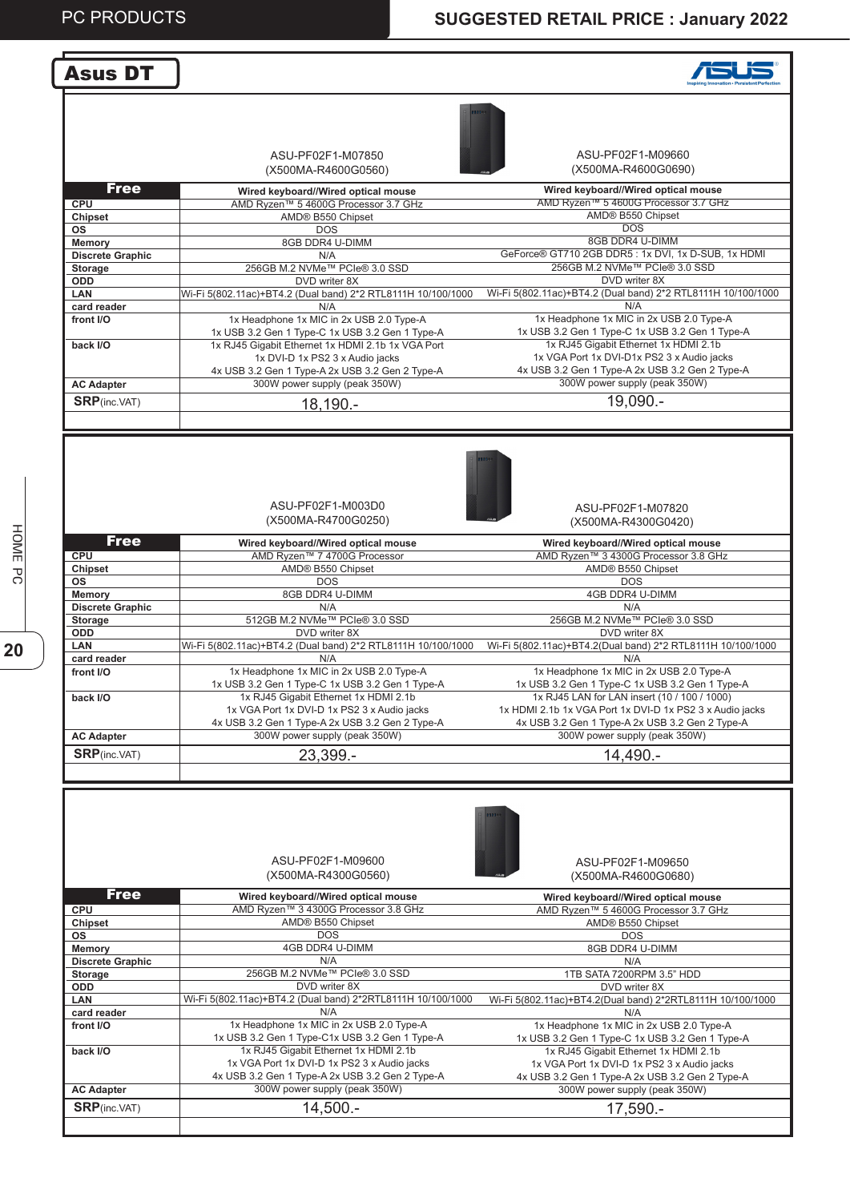#### Asus DT

#### **ASUS**

| ASU-PF02F1-M07850   |  |
|---------------------|--|
|                     |  |
| (X500MA-R4600G0560) |  |



ASU-PF02F1-M09660 (X500MA-R4600G0690)

| <b>Free</b>             | Wired keyboard//Wired optical mouse                          | Wired keyboard//Wired optical mouse                          |
|-------------------------|--------------------------------------------------------------|--------------------------------------------------------------|
| <b>CPU</b>              | AMD Ryzen™ 5 4600G Processor 3.7 GHz                         | AMD Ryzen™ 5 4600G Processor 3.7 GHz                         |
| <b>Chipset</b>          | AMD® B550 Chipset                                            | AMD® B550 Chipset                                            |
| <b>OS</b>               | <b>DOS</b>                                                   | DOS.                                                         |
| <b>Memory</b>           | 8GB DDR4 U-DIMM                                              | 8GB DDR4 U-DIMM                                              |
| <b>Discrete Graphic</b> | N/A                                                          | GeForce® GT710 2GB DDR5: 1x DVI, 1x D-SUB, 1x HDMI           |
| Storage                 | 256GB M.2 NVMe™ PCIe® 3.0 SSD                                | 256GB M.2 NVMe™ PCIe® 3.0 SSD                                |
| ODD.                    | DVD writer 8X                                                | DVD writer 8X                                                |
| <b>LAN</b>              | Wi-Fi 5(802.11ac)+BT4.2 (Dual band) 2*2 RTL8111H 10/100/1000 | Wi-Fi 5(802.11ac)+BT4.2 (Dual band) 2*2 RTL8111H 10/100/1000 |
| card reader             | N/A                                                          | N/A                                                          |
| front I/O               | 1x Headphone 1x MIC in 2x USB 2.0 Type-A                     | 1x Headphone 1x MIC in 2x USB 2.0 Type-A                     |
|                         | 1x USB 3.2 Gen 1 Type-C 1x USB 3.2 Gen 1 Type-A              | 1x USB 3.2 Gen 1 Type-C 1x USB 3.2 Gen 1 Type-A              |
| back I/O                | 1x RJ45 Gigabit Ethernet 1x HDMI 2.1b 1x VGA Port            | 1x RJ45 Gigabit Ethernet 1x HDMI 2.1b                        |
|                         | 1x DVI-D 1x PS2 3 x Audio jacks                              | 1x VGA Port 1x DVI-D1x PS2 3 x Audio jacks                   |
|                         | 4x USB 3.2 Gen 1 Type-A 2x USB 3.2 Gen 2 Type-A              | 4x USB 3.2 Gen 1 Type-A 2x USB 3.2 Gen 2 Type-A              |
| <b>AC Adapter</b>       | 300W power supply (peak 350W)                                | 300W power supply (peak 350W)                                |
| <b>SRP</b> (inc.VAT)    | 18,190.-                                                     | 19,090.-                                                     |
|                         |                                                              |                                                              |
|                         |                                                              |                                                              |
|                         |                                                              |                                                              |

ASU-PF02F1-M003D0 (X500MA-R4700G0250)



ASU-PF02F1-M07820 (X500MA-R4300G0420)

| <b>Free</b>             | Wired keyboard//Wired optical mouse                          | Wired keyboard//Wired optical mouse                         |
|-------------------------|--------------------------------------------------------------|-------------------------------------------------------------|
| <b>CPU</b>              | AMD Ryzen™ 7 4700G Processor                                 | AMD Ryzen™ 3 4300G Processor 3.8 GHz                        |
| <b>Chipset</b>          | AMD® B550 Chipset                                            | AMD® B550 Chipset                                           |
| <b>OS</b>               | DOS.                                                         | DOS.                                                        |
| Memory                  | 8GB DDR4 U-DIMM                                              | 4GB DDR4 U-DIMM                                             |
| <b>Discrete Graphic</b> | N/A                                                          | N/A                                                         |
| Storage                 | 512GB M.2 NVMe™ PCIe® 3.0 SSD                                | 256GB M.2 NVMe™ PCIe® 3.0 SSD                               |
| <b>ODD</b>              | DVD writer 8X                                                | DVD writer 8X                                               |
| <b>LAN</b>              | Wi-Fi 5(802.11ac)+BT4.2 (Dual band) 2*2 RTL8111H 10/100/1000 | Wi-Fi 5(802.11ac)+BT4.2(Dual band) 2*2 RTL8111H 10/100/1000 |
| card reader             | N/A                                                          | N/A                                                         |
| front I/O               | 1x Headphone 1x MIC in 2x USB 2.0 Type-A                     | 1x Headphone 1x MIC in 2x USB 2.0 Type-A                    |
|                         | 1x USB 3.2 Gen 1 Type-C 1x USB 3.2 Gen 1 Type-A              | 1x USB 3.2 Gen 1 Type-C 1x USB 3.2 Gen 1 Type-A             |
| back I/O                | 1x RJ45 Gigabit Ethernet 1x HDMI 2.1b                        | 1x RJ45 LAN for LAN insert (10 / 100 / 1000)                |
|                         | 1x VGA Port 1x DVI-D 1x PS2 3 x Audio jacks                  | 1x HDMI 2.1b 1x VGA Port 1x DVI-D 1x PS2 3 x Audio jacks    |
|                         | 4x USB 3.2 Gen 1 Type-A 2x USB 3.2 Gen 2 Type-A              | 4x USB 3.2 Gen 1 Type-A 2x USB 3.2 Gen 2 Type-A             |
| <b>AC Adapter</b>       | 300W power supply (peak 350W)                                | 300W power supply (peak 350W)                               |
| <b>SRP</b> (inc.VAT)    | 23,399.-                                                     | 14.490.-                                                    |
|                         |                                                              |                                                             |

|                         | ASU-PF02F1-M09600<br>(X500MA-R4300G0560)                    | ASU-PF02F1-M09650<br>(X500MA-R4600G0680)                   |
|-------------------------|-------------------------------------------------------------|------------------------------------------------------------|
| <b>Free</b>             | Wired keyboard//Wired optical mouse                         | Wired keyboard//Wired optical mouse                        |
| <b>CPU</b>              | AMD Ryzen™ 3 4300G Processor 3.8 GHz                        | AMD Ryzen™ 5 4600G Processor 3.7 GHz                       |
| Chipset                 | AMD® B550 Chipset                                           | AMD® B550 Chipset                                          |
| os                      | <b>DOS</b>                                                  | <b>DOS</b>                                                 |
| Memory                  | 4GB DDR4 U-DIMM                                             | 8GB DDR4 U-DIMM                                            |
| <b>Discrete Graphic</b> | N/A                                                         | N/A                                                        |
| <b>Storage</b>          | 256GB M.2 NVMe™ PCIe® 3.0 SSD                               | 1TB SATA 7200RPM 3.5" HDD                                  |
| <b>ODD</b>              | DVD writer 8X                                               | DVD writer 8X                                              |
| <b>LAN</b>              | Wi-Fi 5(802.11ac)+BT4.2 (Dual band) 2*2RTL8111H 10/100/1000 | Wi-Fi 5(802.11ac)+BT4.2(Dual band) 2*2RTL8111H 10/100/1000 |
| card reader             | N/A                                                         | N/A                                                        |
| front I/O               | 1x Headphone 1x MIC in 2x USB 2.0 Type-A                    | 1x Headphone 1x MIC in 2x USB 2.0 Type-A                   |
|                         | 1x USB 3.2 Gen 1 Type-C1x USB 3.2 Gen 1 Type-A              | 1x USB 3.2 Gen 1 Type-C 1x USB 3.2 Gen 1 Type-A            |
| back I/O                | 1x RJ45 Gigabit Ethernet 1x HDMI 2.1b                       | 1x RJ45 Gigabit Ethernet 1x HDMI 2.1b                      |
|                         | 1x VGA Port 1x DVI-D 1x PS2 3 x Audio jacks                 | 1x VGA Port 1x DVI-D 1x PS2 3 x Audio jacks                |
|                         | 4x USB 3.2 Gen 1 Type-A 2x USB 3.2 Gen 2 Type-A             | 4x USB 3.2 Gen 1 Type-A 2x USB 3.2 Gen 2 Type-A            |
| <b>AC Adapter</b>       | 300W power supply (peak 350W)                               | 300W power supply (peak 350W)                              |
| <b>SRP</b> (inc.VAT)    | 14,500.-                                                    | 17,590.-                                                   |
|                         |                                                             |                                                            |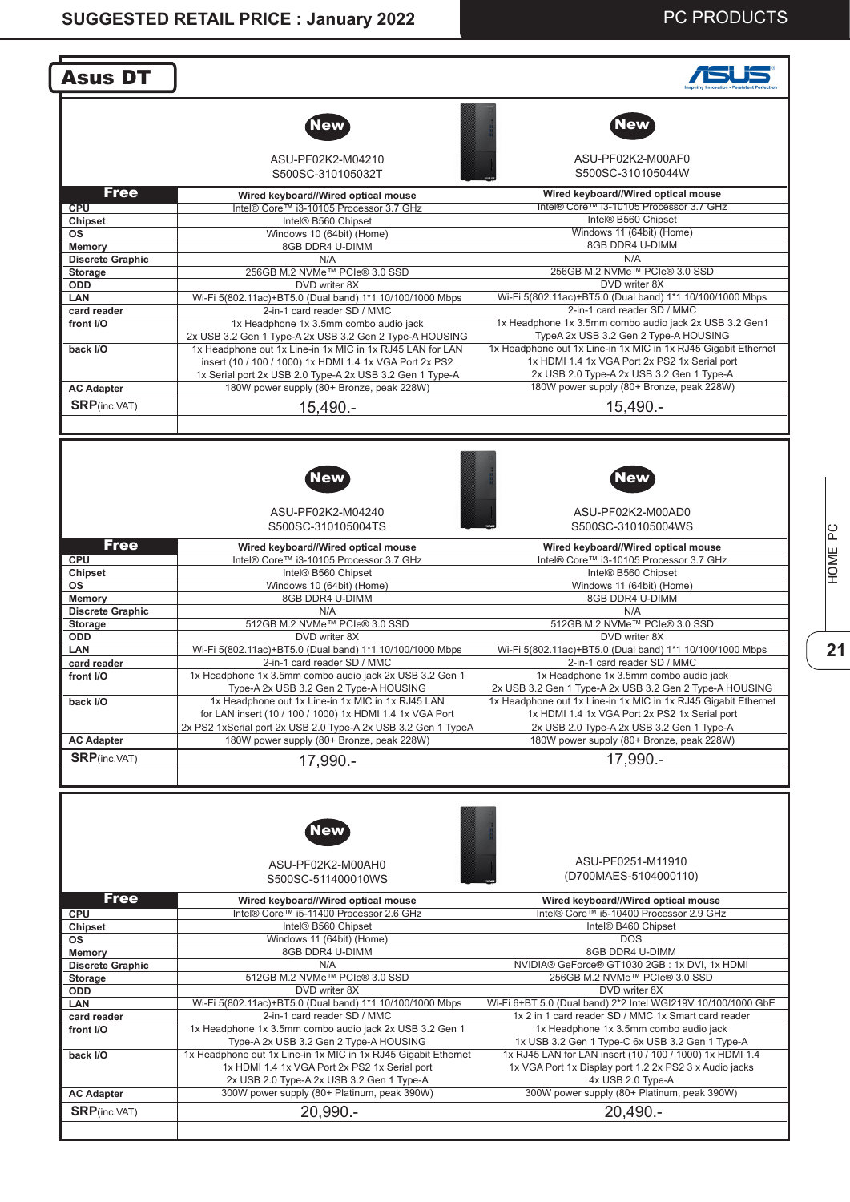| <b>Asus DT</b>                            |                                                                                             |                                                                                                                           |
|-------------------------------------------|---------------------------------------------------------------------------------------------|---------------------------------------------------------------------------------------------------------------------------|
|                                           |                                                                                             |                                                                                                                           |
|                                           | <b>New</b>                                                                                  | <b>New</b>                                                                                                                |
|                                           | ASU-PF02K2-M04210<br>S500SC-310105032T                                                      | ASU-PF02K2-M00AF0<br>S500SC-310105044W                                                                                    |
| <b>Free</b>                               |                                                                                             |                                                                                                                           |
| CPU                                       | Wired keyboard//Wired optical mouse<br>Intel® Core™ i3-10105 Processor 3.7 GHz              | Wired keyboard//Wired optical mouse<br>Intel® Core™ i3-10105 Processor 3.7 GHz                                            |
| <b>Chipset</b>                            | Intel® B560 Chipset                                                                         | Intel® B560 Chipset                                                                                                       |
| ΟS                                        | Windows 10 (64bit) (Home)                                                                   | Windows 11 (64bit) (Home)                                                                                                 |
| <b>Memory</b>                             | 8GB DDR4 U-DIMM                                                                             | 8GB DDR4 U-DIMM                                                                                                           |
| <b>Discrete Graphic</b>                   | N/A                                                                                         | N/A                                                                                                                       |
| Storage                                   | 256GB M.2 NVMe™ PCle® 3.0 SSD                                                               | 256GB M.2 NVMe™ PCle® 3.0 SSD                                                                                             |
| ODD                                       | DVD writer 8X                                                                               | DVD writer 8X<br>Wi-Fi 5(802.11ac)+BT5.0 (Dual band) 1*1 10/100/1000 Mbps                                                 |
| LAN<br>card reader                        | Wi-Fi 5(802.11ac)+BT5.0 (Dual band) 1*1 10/100/1000 Mbps<br>2-in-1 card reader SD / MMC     | 2-in-1 card reader SD / MMC                                                                                               |
| front I/O                                 | 1x Headphone 1x 3.5mm combo audio jack                                                      | 1x Headphone 1x 3.5mm combo audio jack 2x USB 3.2 Gen1                                                                    |
|                                           | 2x USB 3.2 Gen 1 Type-A 2x USB 3.2 Gen 2 Type-A HOUSING                                     | TypeA 2x USB 3.2 Gen 2 Type-A HOUSING                                                                                     |
| back I/O                                  | 1x Headphone out 1x Line-in 1x MIC in 1x RJ45 LAN for LAN                                   | 1x Headphone out 1x Line-in 1x MIC in 1x RJ45 Gigabit Ethernet                                                            |
|                                           | insert (10 / 100 / 1000) 1x HDMI 1.4 1x VGA Port 2x PS2                                     | 1x HDMI 1.4 1x VGA Port 2x PS2 1x Serial port                                                                             |
|                                           | 1x Serial port 2x USB 2.0 Type-A 2x USB 3.2 Gen 1 Type-A                                    | 2x USB 2.0 Type-A 2x USB 3.2 Gen 1 Type-A                                                                                 |
| <b>AC Adapter</b>                         | 180W power supply (80+ Bronze, peak 228W)                                                   | 180W power supply (80+ Bronze, peak 228W)                                                                                 |
| <b>SRP</b> (inc.VAT)                      | $15,490. -$                                                                                 | $15,490. -$                                                                                                               |
|                                           |                                                                                             |                                                                                                                           |
|                                           |                                                                                             |                                                                                                                           |
|                                           | New<br>ASU-PF02K2-M04240                                                                    | New<br>ASU-PF02K2-M00AD0                                                                                                  |
|                                           | S500SC-310105004TS                                                                          | S500SC-310105004WS                                                                                                        |
| <b>Free</b>                               | Wired keyboard//Wired optical mouse                                                         | Wired keyboard//Wired optical mouse                                                                                       |
| <b>CPU</b>                                | Intel® Core™ i3-10105 Processor 3.7 GHz                                                     | Intel® Core™ i3-10105 Processor 3.7 GHz                                                                                   |
| Chipset<br><b>OS</b>                      | Intel® B560 Chipset<br>Windows 10 (64bit) (Home)                                            | Intel® B560 Chipset<br>Windows 11 (64bit) (Home)                                                                          |
| Memory                                    | 8GB DDR4 U-DIMM                                                                             | 8GB DDR4 U-DIMM                                                                                                           |
| <b>Discrete Graphic</b>                   | N/A                                                                                         | N/A                                                                                                                       |
| <b>Storage</b>                            | 512GB M.2 NVMe™ PCle® 3.0 SSD                                                               | 512GB M.2 NVMe™ PCle® 3.0 SSD                                                                                             |
| ODD                                       | DVD writer 8X                                                                               | DVD writer 8X                                                                                                             |
| <b>LAN</b>                                | Wi-Fi 5(802.11ac)+BT5.0 (Dual band) 1*1 10/100/1000 Mbps                                    | Wi-Fi 5(802.11ac)+BT5.0 (Dual band) 1*1 10/100/1000 Mbps                                                                  |
| card reader                               | 2-in-1 card reader SD / MMC                                                                 | 2-in-1 card reader SD / MMC                                                                                               |
| front I/O                                 | 1x Headphone 1x 3.5mm combo audio jack 2x USB 3.2 Gen 1                                     | 1x Headphone 1x 3.5mm combo audio jack                                                                                    |
| back I/O                                  | Type-A 2x USB 3.2 Gen 2 Type-A HOUSING<br>1x Headphone out 1x Line-in 1x MIC in 1x RJ45 LAN | 2x USB 3.2 Gen 1 Type-A 2x USB 3.2 Gen 2 Type-A HOUSING<br>1x Headphone out 1x Line-in 1x MIC in 1x RJ45 Gigabit Ethernet |
|                                           | for LAN insert (10 / 100 / 1000) 1x HDMI 1.4 1x VGA Port                                    | 1x HDMI 1.4 1x VGA Port 2x PS2 1x Serial port                                                                             |
|                                           | 2x PS2 1xSerial port 2x USB 2.0 Type-A 2x USB 3.2 Gen 1 TypeA                               |                                                                                                                           |
|                                           |                                                                                             |                                                                                                                           |
|                                           |                                                                                             | 2x USB 2.0 Type-A 2x USB 3.2 Gen 1 Type-A                                                                                 |
| <b>AC Adapter</b>                         | 180W power supply (80+ Bronze, peak 228W)                                                   | 180W power supply (80+ Bronze, peak 228W)                                                                                 |
| <b>SRP</b> (inc.VAT)                      | 17,990.-                                                                                    | 17,990.-                                                                                                                  |
|                                           |                                                                                             |                                                                                                                           |
|                                           | New                                                                                         |                                                                                                                           |
|                                           | ASU-PF02K2-M00AH0<br>S500SC-511400010WS                                                     | ASU-PF0251-M11910<br>(D700MAES-5104000110)                                                                                |
| <b>Free</b>                               | Wired keyboard//Wired optical mouse                                                         | Wired keyboard//Wired optical mouse                                                                                       |
| <b>CPU</b>                                | Intel® Core™ i5-11400 Processor 2.6 GHz                                                     | Intel® Core™ i5-10400 Processor 2.9 GHz                                                                                   |
| Chipset                                   | Intel® B560 Chipset                                                                         | Intel® B460 Chipset                                                                                                       |
| ΟS                                        | Windows 11 (64bit) (Home)                                                                   | <b>DOS</b>                                                                                                                |
| <b>Memory</b>                             | 8GB DDR4 U-DIMM                                                                             | 8GB DDR4 U-DIMM                                                                                                           |
| <b>Discrete Graphic</b>                   | N/A                                                                                         | NVIDIA® GeForce® GT1030 2GB : 1x DVI, 1x HDMI                                                                             |
| Storage                                   | 512GB M.2 NVMe™ PCle® 3.0 SSD<br>DVD writer 8X                                              | 256GB M.2 NVMe™ PCle® 3.0 SSD<br>DVD writer 8X                                                                            |
| ODD<br>LAN                                | Wi-Fi 5(802.11ac)+BT5.0 (Dual band) 1*1 10/100/1000 Mbps                                    | Wi-Fi 6+BT 5.0 (Dual band) 2*2 Intel WGI219V 10/100/1000 GbE                                                              |
| card reader                               | 2-in-1 card reader SD / MMC                                                                 | 1x 2 in 1 card reader SD / MMC 1x Smart card reader                                                                       |
| front I/O                                 | 1x Headphone 1x 3.5mm combo audio jack 2x USB 3.2 Gen 1                                     | 1x Headphone 1x 3.5mm combo audio jack                                                                                    |
|                                           | Type-A 2x USB 3.2 Gen 2 Type-A HOUSING                                                      | 1x USB 3.2 Gen 1 Type-C 6x USB 3.2 Gen 1 Type-A                                                                           |
| back I/O                                  | 1x Headphone out 1x Line-in 1x MIC in 1x RJ45 Gigabit Ethernet                              | 1x RJ45 LAN for LAN insert (10 / 100 / 1000) 1x HDMI 1.4                                                                  |
|                                           | 1x HDMI 1.4 1x VGA Port 2x PS2 1x Serial port                                               | 1x VGA Port 1x Display port 1.2 2x PS2 3 x Audio jacks                                                                    |
|                                           | 2x USB 2.0 Type-A 2x USB 3.2 Gen 1 Type-A                                                   | 4x USB 2.0 Type-A                                                                                                         |
| <b>AC Adapter</b><br><b>SRP</b> (inc.VAT) | 300W power supply (80+ Platinum, peak 390W)<br>20,990.-                                     | 300W power supply (80+ Platinum, peak 390W)<br>$20,490. -$                                                                |

HOME PC **21**<br>**21**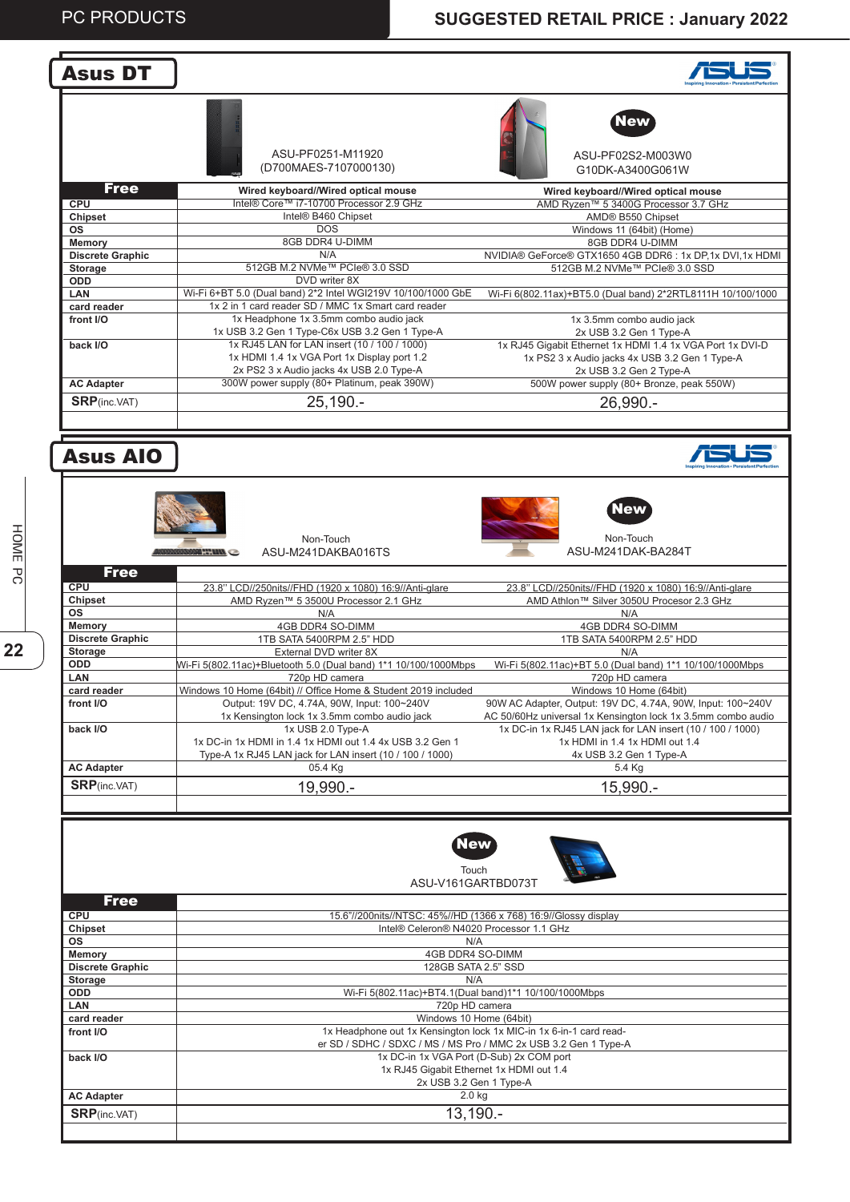| <b>Asus DT</b>                            |                                                                                                               |                                                                                                     |
|-------------------------------------------|---------------------------------------------------------------------------------------------------------------|-----------------------------------------------------------------------------------------------------|
|                                           | ASU-PF0251-M11920<br>(D700MAES-7107000130)                                                                    | New<br>ASU-PF02S2-M003W0<br>G10DK-A3400G061W                                                        |
| <b>Free</b>                               | Wired keyboard//Wired optical mouse<br>Intel® Core™ i7-10700 Processor 2.9 GHz                                | Wired keyboard//Wired optical mouse                                                                 |
| <b>CPU</b><br>Chipset                     | Intel® B460 Chipset                                                                                           | AMD Ryzen™ 5 3400G Processor 3.7 GHz<br>AMD® B550 Chipset                                           |
| ΟS                                        | <b>DOS</b>                                                                                                    | Windows 11 (64bit) (Home)                                                                           |
| <b>Memory</b>                             | 8GB DDR4 U-DIMM                                                                                               | 8GB DDR4 U-DIMM                                                                                     |
| <b>Discrete Graphic</b><br>Storage        | N/A<br>512GB M.2 NVMe™ PCIe® 3.0 SSD                                                                          | NVIDIA® GeForce® GTX1650 4GB DDR6: 1x DP,1x DVI,1x HDMI<br>512GB M.2 NVMe™ PCle® 3.0 SSD            |
| ODD                                       | DVD writer 8X                                                                                                 |                                                                                                     |
| LAN                                       | Wi-Fi 6+BT 5.0 (Dual band) 2*2 Intel WGI219V 10/100/1000 GbE                                                  | Wi-Fi 6(802.11ax)+BT5.0 (Dual band) 2*2RTL8111H 10/100/1000                                         |
| card reader                               | 1x 2 in 1 card reader SD / MMC 1x Smart card reader                                                           |                                                                                                     |
| front I/O                                 | 1x Headphone 1x 3.5mm combo audio jack<br>1x USB 3.2 Gen 1 Type-C6x USB 3.2 Gen 1 Type-A                      | 1x 3.5mm combo audio jack<br>2x USB 3.2 Gen 1 Type-A                                                |
| back I/O                                  | 1x RJ45 LAN for LAN insert (10 / 100 / 1000)                                                                  | 1x RJ45 Gigabit Ethernet 1x HDMI 1.4 1x VGA Port 1x DVI-D                                           |
|                                           | 1x HDMI 1.4 1x VGA Port 1x Display port 1.2                                                                   | 1x PS2 3 x Audio jacks 4x USB 3.2 Gen 1 Type-A                                                      |
|                                           | 2x PS2 3 x Audio jacks 4x USB 2.0 Type-A                                                                      | 2x USB 3.2 Gen 2 Type-A                                                                             |
| <b>AC Adapter</b>                         | 300W power supply (80+ Platinum, peak 390W)                                                                   | 500W power supply (80+ Bronze, peak 550W)                                                           |
| <b>SRP</b> (inc.VAT)                      | $25,190. -$                                                                                                   | 26,990.-                                                                                            |
|                                           |                                                                                                               |                                                                                                     |
| <b>Asus AIO</b>                           |                                                                                                               |                                                                                                     |
|                                           | Non-Touch<br>ASU-M241DAKBA016TS<br><b>SAMARITIRA CONSIDERATION</b>                                            | New<br>Non-Touch<br>ASU-M241DAK-BA284T                                                              |
| <b>Free</b>                               |                                                                                                               |                                                                                                     |
| <b>CPU</b><br><b>Chipset</b>              | 23.8" LCD//250nits//FHD (1920 x 1080) 16:9//Anti-glare<br>AMD Ryzen™ 5 3500U Processor 2.1 GHz                | 23.8" LCD//250nits//FHD (1920 x 1080) 16:9//Anti-glare<br>AMD Athlon™ Silver 3050U Procesor 2.3 GHz |
| ΟS                                        | N/A                                                                                                           | N/A                                                                                                 |
| <b>Memory</b>                             | 4GB DDR4 SO-DIMM                                                                                              | 4GB DDR4 SO-DIMM                                                                                    |
| <b>Discrete Graphic</b><br><b>Storage</b> | 1TB SATA 5400RPM 2.5" HDD<br>External DVD writer 8X                                                           | 1TB SATA 5400RPM 2.5" HDD<br>N/A                                                                    |
| ODD                                       | Wi-Fi 5(802.11ac)+Bluetooth 5.0 (Dual band) 1*1 10/100/1000Mbps                                               | Wi-Fi 5(802.11ac)+BT 5.0 (Dual band) 1*1 10/100/1000Mbps                                            |
| LAN                                       | 720p HD camera                                                                                                | 720p HD camera                                                                                      |
| card reader<br>front I/O                  | Windows 10 Home (64bit) // Office Home & Student 2019 included<br>Output: 19V DC, 4.74A, 90W, Input: 100~240V | Windows 10 Home (64bit)<br>90W AC Adapter, Output: 19V DC, 4.74A, 90W, Input: 100~240V              |
|                                           | 1x Kensington lock 1x 3.5mm combo audio jack                                                                  | AC 50/60Hz universal 1x Kensington lock 1x 3.5mm combo audio                                        |
| back I/O                                  | 1x USB 2.0 Type-A                                                                                             | 1x DC-in 1x RJ45 LAN jack for LAN insert (10 / 100 / 1000)                                          |
|                                           | 1x DC-in 1x HDMI in 1.4 1x HDMI out 1.4 4x USB 3.2 Gen 1                                                      | 1x HDMI in 1.4 1x HDMI out 1.4                                                                      |
| <b>AC Adapter</b>                         | Type-A 1x RJ45 LAN jack for LAN insert (10 / 100 / 1000)<br>05.4 Kg                                           | 4x USB 3.2 Gen 1 Type-A<br>5.4 Kg                                                                   |
| <b>SRP</b> (inc.VAT)                      | 19,990.-                                                                                                      | 15,990.-                                                                                            |
|                                           |                                                                                                               |                                                                                                     |
| <b>Free</b>                               | New<br>Touch<br>ASU-V161GARTBD073T                                                                            |                                                                                                     |
| <b>CPU</b>                                | 15.6"//200nits//NTSC: 45%//HD (1366 x 768) 16:9//Glossy display                                               |                                                                                                     |
| Chipset                                   | Intel® Celeron® N4020 Processor 1.1 GHz                                                                       |                                                                                                     |
| <b>OS</b>                                 | N/A                                                                                                           |                                                                                                     |
| <b>Memory</b><br><b>Discrete Graphic</b>  | 4GB DDR4 SO-DIMM<br>128GB SATA 2.5" SSD                                                                       |                                                                                                     |
| Storage                                   | N/A                                                                                                           |                                                                                                     |
| ODD                                       | Wi-Fi 5(802.11ac)+BT4.1(Dual band)1*1 10/100/1000Mbps                                                         |                                                                                                     |
| LAN                                       | 720p HD camera<br>Windows 10 Home (64bit)                                                                     |                                                                                                     |
| card reader<br>front I/O                  | 1x Headphone out 1x Kensington lock 1x MIC-in 1x 6-in-1 card read-                                            |                                                                                                     |
|                                           | er SD / SDHC / SDXC / MS / MS Pro / MMC 2x USB 3.2 Gen 1 Type-A                                               |                                                                                                     |
| back I/O                                  | 1x DC-in 1x VGA Port (D-Sub) 2x COM port                                                                      |                                                                                                     |
|                                           | 1x RJ45 Gigabit Ethernet 1x HDMI out 1.4                                                                      |                                                                                                     |
| <b>AC Adapter</b>                         | 2x USB 3.2 Gen 1 Type-A<br>$2.0$ kg                                                                           |                                                                                                     |
| <b>SRP</b> (inc.VAT)                      | $13,190. -$                                                                                                   |                                                                                                     |
|                                           |                                                                                                               |                                                                                                     |
|                                           |                                                                                                               |                                                                                                     |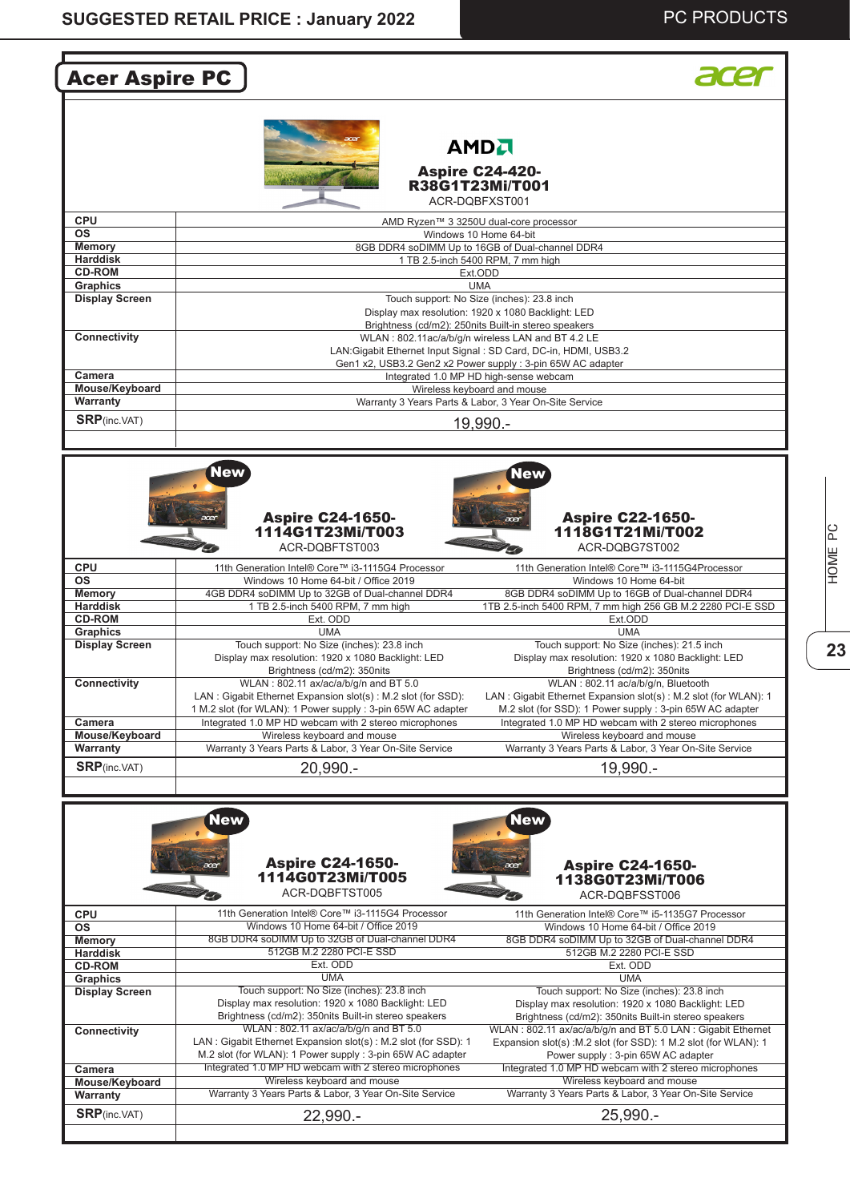| <b>Acer Aspire PC</b>                                                                                                    |                                                                                                                                                                                                                                                                                                                                                                                     |                                                                                                                                                                                                                                                                                                                                                                                              |  |
|--------------------------------------------------------------------------------------------------------------------------|-------------------------------------------------------------------------------------------------------------------------------------------------------------------------------------------------------------------------------------------------------------------------------------------------------------------------------------------------------------------------------------|----------------------------------------------------------------------------------------------------------------------------------------------------------------------------------------------------------------------------------------------------------------------------------------------------------------------------------------------------------------------------------------------|--|
|                                                                                                                          |                                                                                                                                                                                                                                                                                                                                                                                     | <b>AMDA</b><br><b>Aspire C24-420-</b><br>R38G1T23Mi/T001<br>ACR-DOBFXST001                                                                                                                                                                                                                                                                                                                   |  |
| <b>CPU</b>                                                                                                               |                                                                                                                                                                                                                                                                                                                                                                                     | AMD Ryzen™ 3 3250U dual-core processor                                                                                                                                                                                                                                                                                                                                                       |  |
| <b>OS</b>                                                                                                                |                                                                                                                                                                                                                                                                                                                                                                                     | Windows 10 Home 64-bit                                                                                                                                                                                                                                                                                                                                                                       |  |
| <b>Memory</b>                                                                                                            |                                                                                                                                                                                                                                                                                                                                                                                     | 8GB DDR4 soDIMM Up to 16GB of Dual-channel DDR4                                                                                                                                                                                                                                                                                                                                              |  |
| <b>Harddisk</b><br><b>CD-ROM</b>                                                                                         |                                                                                                                                                                                                                                                                                                                                                                                     | 1 TB 2.5-inch 5400 RPM, 7 mm high<br>Ext.ODD                                                                                                                                                                                                                                                                                                                                                 |  |
| Graphics                                                                                                                 |                                                                                                                                                                                                                                                                                                                                                                                     | <b>UMA</b>                                                                                                                                                                                                                                                                                                                                                                                   |  |
| <b>Display Screen</b><br><b>Connectivity</b>                                                                             | Touch support: No Size (inches): 23.8 inch<br>Display max resolution: 1920 x 1080 Backlight: LED<br>Brightness (cd/m2): 250nits Built-in stereo speakers<br>WLAN: 802.11ac/a/b/g/n wireless LAN and BT 4.2 LE                                                                                                                                                                       |                                                                                                                                                                                                                                                                                                                                                                                              |  |
| Camera                                                                                                                   |                                                                                                                                                                                                                                                                                                                                                                                     | LAN: Gigabit Ethernet Input Signal: SD Card, DC-in, HDMI, USB3.2<br>Gen1 x2, USB3.2 Gen2 x2 Power supply : 3-pin 65W AC adapter<br>Integrated 1.0 MP HD high-sense webcam                                                                                                                                                                                                                    |  |
| Mouse/Keyboard                                                                                                           |                                                                                                                                                                                                                                                                                                                                                                                     | Wireless keyboard and mouse                                                                                                                                                                                                                                                                                                                                                                  |  |
| Warranty                                                                                                                 |                                                                                                                                                                                                                                                                                                                                                                                     | Warranty 3 Years Parts & Labor, 3 Year On-Site Service                                                                                                                                                                                                                                                                                                                                       |  |
| <b>SRP</b> (inc.VAT)                                                                                                     |                                                                                                                                                                                                                                                                                                                                                                                     | 19,990.-                                                                                                                                                                                                                                                                                                                                                                                     |  |
| <b>CPU</b><br><b>OS</b><br><b>Memory</b><br><b>Harddisk</b><br><b>CD-ROM</b><br><b>Graphics</b><br><b>Display Screen</b> | 1114G1T23Mi/T003<br>ACR-DQBFTST003<br>11th Generation Intel® Core™ i3-1115G4 Processor<br>Windows 10 Home 64-bit / Office 2019<br>4GB DDR4 soDIMM Up to 32GB of Dual-channel DDR4<br>1 TB 2.5-inch 5400 RPM, 7 mm high<br>Ext. ODD<br><b>UMA</b><br>Touch support: No Size (inches): 23.8 inch<br>Display max resolution: 1920 x 1080 Backlight: LED<br>Brightness (cd/m2): 350nits | 1118G1T21Mi/T002<br>ACR-DQBG7ST002<br>11th Generation Intel® Core™ i3-1115G4Processor<br>Windows 10 Home 64-bit<br>8GB DDR4 soDIMM Up to 16GB of Dual-channel DDR4<br>1TB 2.5-inch 5400 RPM, 7 mm high 256 GB M.2 2280 PCI-E SSD<br>Ext.ODD<br><b>UMA</b><br>Touch support: No Size (inches): 21.5 inch<br>Display max resolution: 1920 x 1080 Backlight: LED<br>Brightness (cd/m2): 350nits |  |
| Connectivity                                                                                                             | WLAN: 802.11 ax/ac/a/b/g/n and BT 5.0<br>LAN: Gigabit Ethernet Expansion slot(s): M.2 slot (for SSD):<br>1 M.2 slot (for WLAN): 1 Power supply : 3-pin 65W AC adapter                                                                                                                                                                                                               | WLAN: 802.11 ac/a/b/q/n, Bluetooth<br>LAN: Gigabit Ethernet Expansion slot(s): M.2 slot (for WLAN): 1<br>M.2 slot (for SSD): 1 Power supply : 3-pin 65W AC adapter                                                                                                                                                                                                                           |  |
| Camera<br>Mouse/Keyboard                                                                                                 | Integrated 1.0 MP HD webcam with 2 stereo microphones<br>Wireless keyboard and mouse                                                                                                                                                                                                                                                                                                | Integrated 1.0 MP HD webcam with 2 stereo microphones<br>Wireless keyboard and mouse                                                                                                                                                                                                                                                                                                         |  |
| Warranty                                                                                                                 | Warranty 3 Years Parts & Labor, 3 Year On-Site Service                                                                                                                                                                                                                                                                                                                              | Warranty 3 Years Parts & Labor, 3 Year On-Site Service                                                                                                                                                                                                                                                                                                                                       |  |
| <b>SRP</b> (inc.VAT)                                                                                                     | 20,990.-                                                                                                                                                                                                                                                                                                                                                                            | 19,990.-                                                                                                                                                                                                                                                                                                                                                                                     |  |
|                                                                                                                          | <b>New</b><br><b>Aspire C24-1650-</b><br>acer<br>1114G0T23Mi/T005<br>ACR-DQBFTST005                                                                                                                                                                                                                                                                                                 | <b>New</b><br><b>Aspire C24-1650-</b><br>acer<br>1138G0T23Mi/T006<br>ACR-DQBFSST006                                                                                                                                                                                                                                                                                                          |  |
| <b>CPU</b>                                                                                                               | 11th Generation Intel® Core™ i3-1115G4 Processor                                                                                                                                                                                                                                                                                                                                    | 11th Generation Intel® Core™ i5-1135G7 Processor                                                                                                                                                                                                                                                                                                                                             |  |
| <b>OS</b><br><b>Memory</b>                                                                                               | Windows 10 Home 64-bit / Office 2019<br>8GB DDR4 soDIMM Up to 32GB of Dual-channel DDR4                                                                                                                                                                                                                                                                                             | Windows 10 Home 64-bit / Office 2019<br>8GB DDR4 soDIMM Up to 32GB of Dual-channel DDR4                                                                                                                                                                                                                                                                                                      |  |
| <b>Harddisk</b>                                                                                                          | 512GB M.2 2280 PCI-E SSD                                                                                                                                                                                                                                                                                                                                                            | 512GB M.2 2280 PCI-E SSD                                                                                                                                                                                                                                                                                                                                                                     |  |
| <b>CD-ROM</b>                                                                                                            | Ext. ODD                                                                                                                                                                                                                                                                                                                                                                            | Ext. ODD                                                                                                                                                                                                                                                                                                                                                                                     |  |
| Graphics<br><b>Display Screen</b><br>Connectivity                                                                        | <b>UMA</b><br>Touch support: No Size (inches): 23.8 inch<br>Display max resolution: 1920 x 1080 Backlight: LED<br>Brightness (cd/m2): 350nits Built-in stereo speakers<br>WLAN: 802.11 ax/ac/a/b/g/n and BT 5.0                                                                                                                                                                     | <b>UMA</b><br>Touch support: No Size (inches): 23.8 inch<br>Display max resolution: 1920 x 1080 Backlight: LED<br>Brightness (cd/m2): 350nits Built-in stereo speakers<br>WLAN: 802.11 ax/ac/a/b/g/n and BT 5.0 LAN: Gigabit Ethernet                                                                                                                                                        |  |
| Camera                                                                                                                   | LAN: Gigabit Ethernet Expansion slot(s): M.2 slot (for SSD): 1<br>M.2 slot (for WLAN): 1 Power supply : 3-pin 65W AC adapter<br>Integrated 1.0 MP HD webcam with 2 stereo microphones                                                                                                                                                                                               | Expansion slot(s) : M.2 slot (for SSD): 1 M.2 slot (for WLAN): 1<br>Power supply: 3-pin 65W AC adapter<br>Integrated 1.0 MP HD webcam with 2 stereo microphones                                                                                                                                                                                                                              |  |
| Mouse/Keyboard                                                                                                           | Wireless keyboard and mouse                                                                                                                                                                                                                                                                                                                                                         | Wireless keyboard and mouse                                                                                                                                                                                                                                                                                                                                                                  |  |
| Warranty                                                                                                                 | Warranty 3 Years Parts & Labor, 3 Year On-Site Service                                                                                                                                                                                                                                                                                                                              | Warranty 3 Years Parts & Labor, 3 Year On-Site Service                                                                                                                                                                                                                                                                                                                                       |  |
| <b>SRP</b> (inc.VAT)                                                                                                     | 22,990.-                                                                                                                                                                                                                                                                                                                                                                            | $25,990. -$                                                                                                                                                                                                                                                                                                                                                                                  |  |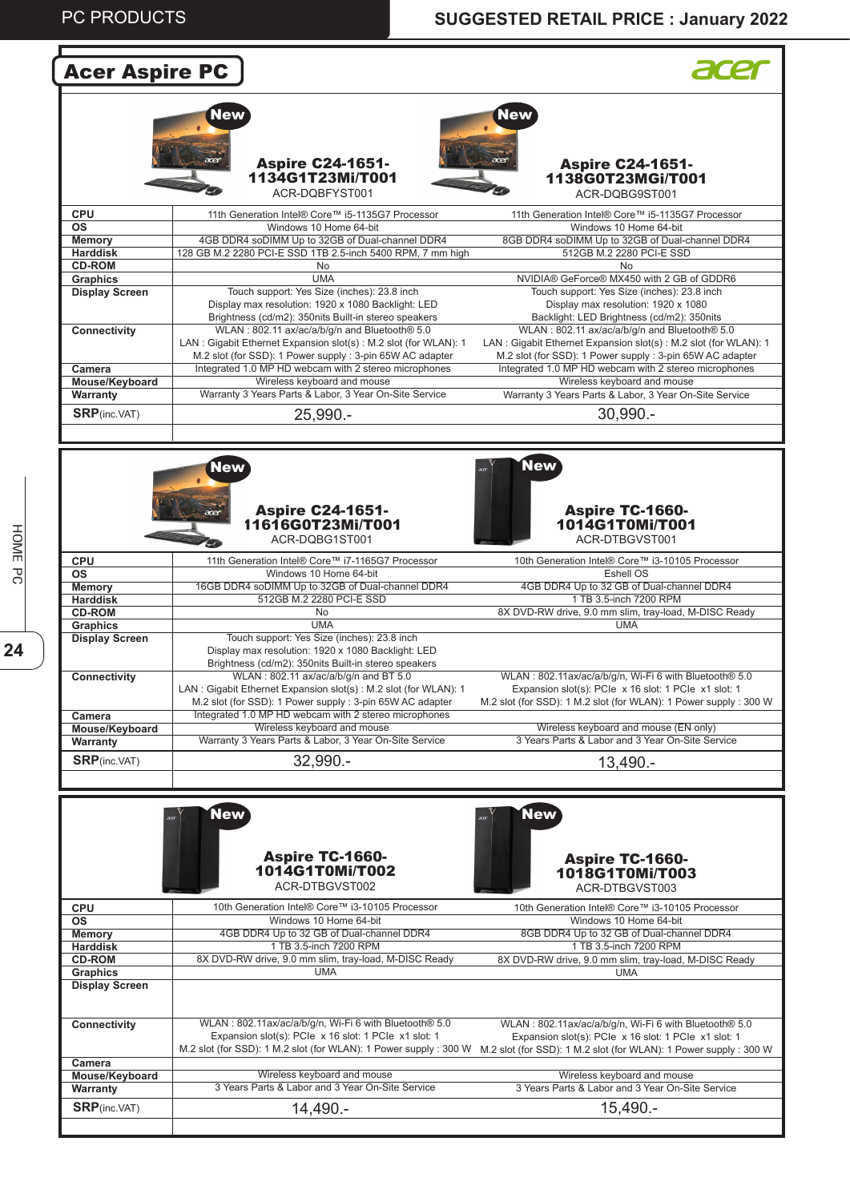## **PC PRODUCTS SUGGESTED RETAIL PRICE : January 2022**

| <b>Acer Aspire PC</b>             |                                                                                                                    |                                                                                                                                     |
|-----------------------------------|--------------------------------------------------------------------------------------------------------------------|-------------------------------------------------------------------------------------------------------------------------------------|
|                                   |                                                                                                                    |                                                                                                                                     |
|                                   | New                                                                                                                | New                                                                                                                                 |
|                                   |                                                                                                                    |                                                                                                                                     |
|                                   |                                                                                                                    |                                                                                                                                     |
|                                   | <b>Aspire C24-1651-</b><br>1134G1T23Mi/T001                                                                        | <b>Aspire C24-1651-</b>                                                                                                             |
|                                   | ACR-DOBFYST001                                                                                                     | 1138G0T23MGi/T001<br>ACR-DQBG9ST001                                                                                                 |
|                                   |                                                                                                                    |                                                                                                                                     |
| <b>CPU</b><br><b>OS</b>           | 11th Generation Intel® Core™ i5-1135G7 Processor<br>Windows 10 Home 64-bit                                         | 11th Generation Intel® Core™ i5-1135G7 Processor<br>Windows 10 Home 64-bit                                                          |
| <b>Memory</b>                     | 4GB DDR4 soDIMM Up to 32GB of Dual-channel DDR4                                                                    | 8GB DDR4 soDIMM Up to 32GB of Dual-channel DDR4                                                                                     |
| <b>Harddisk</b><br><b>CD-ROM</b>  | 128 GB M.2 2280 PCI-E SSD 1TB 2.5-inch 5400 RPM, 7 mm high<br>No                                                   | 512GB M.2 2280 PCI-E SSD<br><b>No</b>                                                                                               |
| Graphics                          | <b>UMA</b>                                                                                                         | NVIDIA® GeForce® MX450 with 2 GB of GDDR6                                                                                           |
| <b>Display Screen</b>             | Touch support: Yes Size (inches): 23.8 inch                                                                        | Touch support: Yes Size (inches): 23.8 inch                                                                                         |
|                                   | Display max resolution: 1920 x 1080 Backlight: LED<br>Brightness (cd/m2): 350nits Built-in stereo speakers         | Display max resolution: 1920 x 1080<br>Backlight: LED Brightness (cd/m2): 350nits                                                   |
| Connectivity                      | WLAN: 802.11 ax/ac/a/b/g/n and Bluetooth® 5.0                                                                      | WLAN: 802.11 ax/ac/a/b/g/n and Bluetooth® 5.0                                                                                       |
|                                   | LAN: Gigabit Ethernet Expansion slot(s): M.2 slot (for WLAN): 1                                                    | LAN: Gigabit Ethernet Expansion slot(s): M.2 slot (for WLAN): 1                                                                     |
| Camera                            | M.2 slot (for SSD): 1 Power supply : 3-pin 65W AC adapter<br>Integrated 1.0 MP HD webcam with 2 stereo microphones | M.2 slot (for SSD): 1 Power supply : 3-pin 65W AC adapter<br>Integrated 1.0 MP HD webcam with 2 stereo microphones                  |
| Mouse/Keyboard                    | Wireless keyboard and mouse                                                                                        | Wireless keyboard and mouse                                                                                                         |
| Warranty                          | Warranty 3 Years Parts & Labor, 3 Year On-Site Service                                                             | Warranty 3 Years Parts & Labor, 3 Year On-Site Service                                                                              |
| <b>SRP</b> (inc.VAT)              | 25,990.-                                                                                                           | $30.990 -$                                                                                                                          |
|                                   |                                                                                                                    |                                                                                                                                     |
|                                   |                                                                                                                    |                                                                                                                                     |
|                                   | <b>New</b>                                                                                                         | <b>New</b>                                                                                                                          |
|                                   |                                                                                                                    |                                                                                                                                     |
|                                   | <b>Aspire C24-1651-</b><br>acer                                                                                    | <b>Aspire TC-1660-</b>                                                                                                              |
|                                   | 11616G0T23Mi/T001                                                                                                  | 1014G1T0Mi/T001                                                                                                                     |
|                                   | ACR-DQBG1ST001                                                                                                     | ACR-DTBGVST001                                                                                                                      |
| <b>CPU</b>                        | 11th Generation Intel® Core™ i7-1165G7 Processor                                                                   | 10th Generation Intel® Core™ i3-10105 Processor                                                                                     |
| <b>OS</b>                         | Windows 10 Home 64-bit                                                                                             | Eshell OS                                                                                                                           |
| <b>Memory</b><br><b>Harddisk</b>  | 16GB DDR4 soDIMM Up to 32GB of Dual-channel DDR4<br>512GB M.2 2280 PCI-E SSD                                       | 4GB DDR4 Up to 32 GB of Dual-channel DDR4<br>1 TB 3.5-inch 7200 RPM                                                                 |
| <b>CD-ROM</b>                     | No                                                                                                                 | 8X DVD-RW drive, 9.0 mm slim, tray-load, M-DISC Ready                                                                               |
| Graphics<br><b>Display Screen</b> | <b>UMA</b><br>Touch support: Yes Size (inches): 23.8 inch                                                          | <b>UMA</b>                                                                                                                          |
|                                   | Display max resolution: 1920 x 1080 Backlight: LED                                                                 |                                                                                                                                     |
|                                   | Brightness (cd/m2): 350nits Built-in stereo speakers                                                               |                                                                                                                                     |
| Connectivity                      | WLAN: 802.11 ax/ac/a/b/g/n and BT 5.0<br>LAN: Gigabit Ethernet Expansion slot(s): M.2 slot (for WLAN): 1           | WLAN: 802.11ax/ac/a/b/g/n, Wi-Fi 6 with Bluetooth® 5.0<br>Expansion slot(s): PCle x 16 slot: 1 PCle x1 slot: 1                      |
|                                   | M.2 slot (for SSD): 1 Power supply : 3-pin 65W AC adapter                                                          | M.2 slot (for SSD): 1 M.2 slot (for WLAN): 1 Power supply: 300 W                                                                    |
| Camera<br>Mouse/Keyboard          | Integrated 1.0 MP HD webcam with 2 stereo microphones<br>Wireless keyboard and mouse                               | Wireless keyboard and mouse (EN only)                                                                                               |
| Warranty                          | Warranty 3 Years Parts & Labor, 3 Year On-Site Service                                                             | 3 Years Parts & Labor and 3 Year On-Site Service                                                                                    |
| <b>SRP</b> (inc.VAT)              | 32,990.-                                                                                                           |                                                                                                                                     |
|                                   |                                                                                                                    | 13,490.-                                                                                                                            |
|                                   |                                                                                                                    |                                                                                                                                     |
|                                   | <b>New</b>                                                                                                         | <b>New</b>                                                                                                                          |
|                                   |                                                                                                                    |                                                                                                                                     |
|                                   |                                                                                                                    |                                                                                                                                     |
|                                   | <b>Aspire TC-1660-</b><br>1014G1T0Mi/T002                                                                          | <b>Aspire TC-1660-</b>                                                                                                              |
|                                   | ACR-DTBGVST002                                                                                                     | 1018G1T0Mi/T003                                                                                                                     |
|                                   |                                                                                                                    | ACR-DTBGVST003                                                                                                                      |
| <b>CPU</b><br><b>OS</b>           | 10th Generation Intel® Core™ i3-10105 Processor<br>Windows 10 Home 64-bit                                          | 10th Generation Intel® Core™ i3-10105 Processor<br>Windows 10 Home 64-bit                                                           |
| <b>Memory</b>                     | 4GB DDR4 Up to 32 GB of Dual-channel DDR4                                                                          | 8GB DDR4 Up to 32 GB of Dual-channel DDR4                                                                                           |
| <b>Harddisk</b><br><b>CD-ROM</b>  | 1 TB 3.5-inch 7200 RPM<br>8X DVD-RW drive, 9.0 mm slim, tray-load, M-DISC Ready                                    | 1 TB 3.5-inch 7200 RPM<br>8X DVD-RW drive, 9.0 mm slim, tray-load, M-DISC Ready                                                     |
| Graphics                          | <b>UMA</b>                                                                                                         | <b>UMA</b>                                                                                                                          |
| <b>Display Screen</b>             |                                                                                                                    |                                                                                                                                     |
|                                   |                                                                                                                    |                                                                                                                                     |
| Connectivity                      | WLAN: 802.11ax/ac/a/b/g/n, Wi-Fi 6 with Bluetooth® 5.0                                                             | WLAN: 802.11ax/ac/a/b/g/n, Wi-Fi 6 with Bluetooth® 5.0                                                                              |
|                                   | Expansion slot(s): PCle x 16 slot: 1 PCle x1 slot: 1                                                               | Expansion slot(s): PCIe x 16 slot: 1 PCIe x1 slot: 1                                                                                |
| Camera                            |                                                                                                                    | M.2 slot (for SSD): 1 M.2 slot (for WLAN): 1 Power supply : 300 W M.2 slot (for SSD): 1 M.2 slot (for WLAN): 1 Power supply : 300 W |
| Mouse/Keyboard                    | Wireless keyboard and mouse                                                                                        | Wireless keyboard and mouse                                                                                                         |
| Warranty                          | 3 Years Parts & Labor and 3 Year On-Site Service                                                                   | 3 Years Parts & Labor and 3 Year On-Site Service                                                                                    |
| <b>SRP</b> (inc.VAT)              | 14,490.-                                                                                                           | 15,490.-                                                                                                                            |
|                                   |                                                                                                                    |                                                                                                                                     |
|                                   |                                                                                                                    |                                                                                                                                     |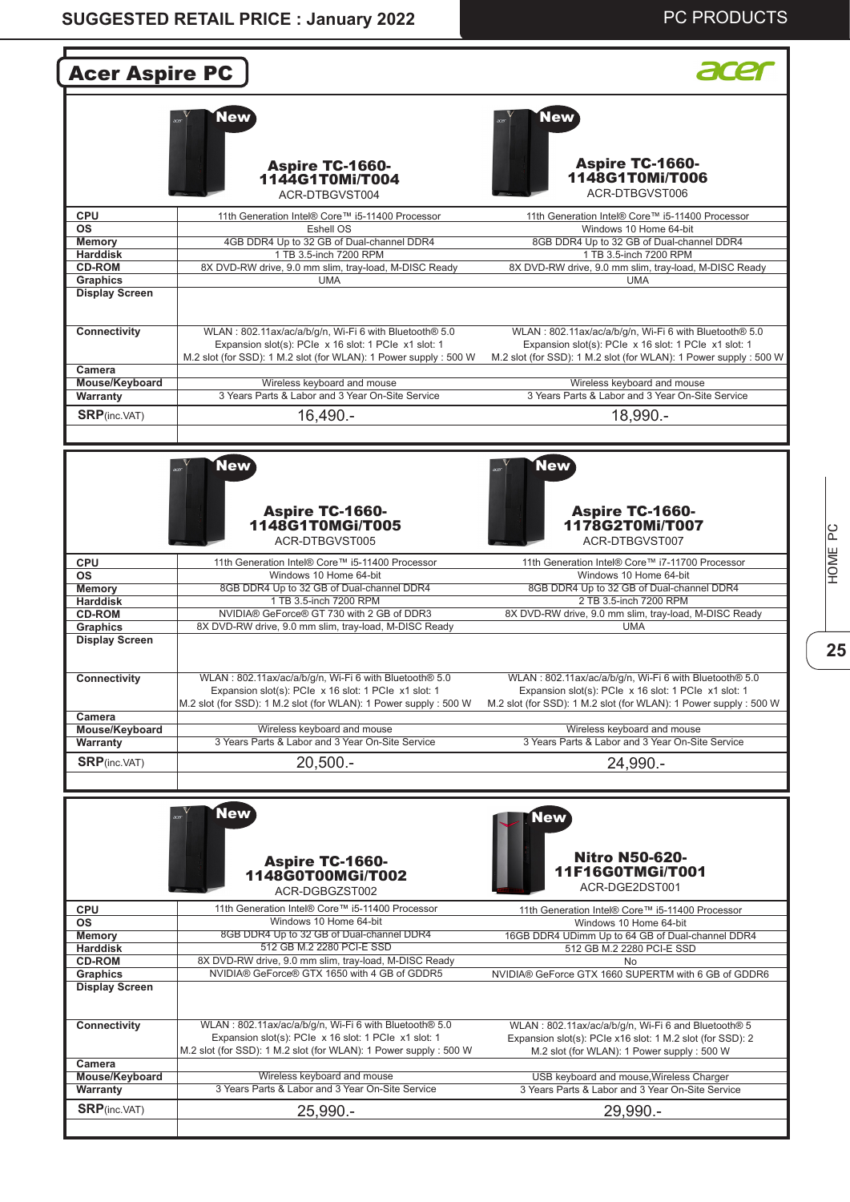#### **SUGGESTED RETAIL PRICE : January 2022**

#### PC PRODUCTS

| <b>Acer Aspire PC</b>                             |                                                                                                                                                                                     |                                                                                                                                                                                    |
|---------------------------------------------------|-------------------------------------------------------------------------------------------------------------------------------------------------------------------------------------|------------------------------------------------------------------------------------------------------------------------------------------------------------------------------------|
|                                                   | New<br><b>Aspire TC-1660-</b><br>1144G1T0Mi/T004<br>ACR-DTBGVST004                                                                                                                  | <b>New</b><br><b>Aspire TC-1660-</b><br>1148G1T0Mi/T006<br>ACR-DTBGVST006                                                                                                          |
| <b>CPU</b><br><b>OS</b>                           | 11th Generation Intel® Core™ i5-11400 Processor<br>Eshell OS                                                                                                                        | 11th Generation Intel® Core™ i5-11400 Processor<br>Windows 10 Home 64-bit                                                                                                          |
| <b>Memory</b><br><b>Harddisk</b><br><b>CD-ROM</b> | 4GB DDR4 Up to 32 GB of Dual-channel DDR4<br>1 TB 3.5-inch 7200 RPM<br>8X DVD-RW drive, 9.0 mm slim, tray-load, M-DISC Ready                                                        | 8GB DDR4 Up to 32 GB of Dual-channel DDR4<br>1 TB 3.5-inch 7200 RPM<br>8X DVD-RW drive, 9.0 mm slim, tray-load, M-DISC Ready                                                       |
| <b>Graphics</b><br><b>Display Screen</b>          | <b>UMA</b>                                                                                                                                                                          | <b>UMA</b>                                                                                                                                                                         |
| <b>Connectivity</b><br>Camera                     | WLAN: 802.11ax/ac/a/b/g/n, Wi-Fi 6 with Bluetooth® 5.0<br>Expansion slot(s): PCle x 16 slot: 1 PCle x1 slot: 1<br>M.2 slot (for SSD): 1 M.2 slot (for WLAN): 1 Power supply: 500 W  | WLAN: 802.11ax/ac/a/b/q/n, Wi-Fi 6 with Bluetooth® 5.0<br>Expansion slot(s): PCIe x 16 slot: 1 PCIe x1 slot: 1<br>M.2 slot (for SSD): 1 M.2 slot (for WLAN): 1 Power supply: 500 W |
| Mouse/Keyboard                                    | Wireless keyboard and mouse                                                                                                                                                         | Wireless keyboard and mouse                                                                                                                                                        |
| Warranty                                          | 3 Years Parts & Labor and 3 Year On-Site Service                                                                                                                                    | 3 Years Parts & Labor and 3 Year On-Site Service                                                                                                                                   |
| <b>SRP</b> (inc.VAT)                              | 16,490.-                                                                                                                                                                            | 18,990.-                                                                                                                                                                           |
| <b>CPU</b><br><b>OS</b>                           | <b>Aspire TC-1660-</b><br>1148G1T0MGi/T005<br>ACR-DTBGVST005<br>11th Generation Intel® Core™ i5-11400 Processor<br>Windows 10 Home 64-bit                                           | <b>Aspire TC-1660-</b><br>1178G2T0Mi/T007<br>ACR-DTBGVST007<br>11th Generation Intel® Core™ i7-11700 Processor<br>Windows 10 Home 64-bit                                           |
| <b>Memory</b><br><b>Harddisk</b>                  | 8GB DDR4 Up to 32 GB of Dual-channel DDR4<br>1 TB 3.5-inch 7200 RPM                                                                                                                 | 8GB DDR4 Up to 32 GB of Dual-channel DDR4<br>2 TB 3.5-inch 7200 RPM                                                                                                                |
| <b>CD-ROM</b>                                     | NVIDIA® GeForce® GT 730 with 2 GB of DDR3                                                                                                                                           | 8X DVD-RW drive, 9.0 mm slim, tray-load, M-DISC Ready                                                                                                                              |
| <b>Graphics</b><br><b>Display Screen</b>          | 8X DVD-RW drive, 9.0 mm slim, tray-load, M-DISC Ready                                                                                                                               | <b>UMA</b>                                                                                                                                                                         |
| Connectivity                                      | WLAN: 802.11ax/ac/a/b/g/n, Wi-Fi 6 with Bluetooth® 5.0<br>Expansion slot(s): PCle x 16 slot: 1 PCle x1 slot: 1<br>M.2 slot (for SSD): 1 M.2 slot (for WLAN): 1 Power supply: 500 W  | WLAN: 802.11ax/ac/a/b/q/n, Wi-Fi 6 with Bluetooth® 5.0<br>Expansion slot(s): PCIe x 16 slot: 1 PCIe x1 slot: 1<br>M.2 slot (for SSD): 1 M.2 slot (for WLAN): 1 Power supply: 500 W |
| Camera<br>Mouse/Keyboard                          | Wireless keyboard and mouse                                                                                                                                                         | Wireless keyboard and mouse                                                                                                                                                        |
| Warranty                                          | 3 Years Parts & Labor and 3 Year On-Site Service                                                                                                                                    | 3 Years Parts & Labor and 3 Year On-Site Service                                                                                                                                   |
| <b>SRP</b> (inc.VAT)                              | $20,500. -$                                                                                                                                                                         | 24,990.-                                                                                                                                                                           |
|                                                   | <b>New</b><br><b>Aspire TC-1660-</b><br>1148G0T00MGi/T002<br>ACR-DGBGZST002                                                                                                         | <b>New</b><br><b>Nitro N50-620-</b><br>11F16G0TMGi/T001<br>ACR-DGE2DST001                                                                                                          |
| <b>CPU</b>                                        | 11th Generation Intel® Core™ i5-11400 Processor                                                                                                                                     | 11th Generation Intel® Core™ i5-11400 Processor                                                                                                                                    |
| <b>OS</b>                                         | Windows 10 Home 64-bit                                                                                                                                                              | Windows 10 Home 64-bit                                                                                                                                                             |
| <b>Memory</b><br><b>Harddisk</b>                  | 8GB DDR4 Up to 32 GB of Dual-channel DDR4<br>512 GB M.2 2280 PCI-E SSD                                                                                                              | 16GB DDR4 UDimm Up to 64 GB of Dual-channel DDR4<br>512 GB M.2 2280 PCI-E SSD                                                                                                      |
| <b>CD-ROM</b>                                     | 8X DVD-RW drive, 9.0 mm slim, tray-load, M-DISC Ready                                                                                                                               | No                                                                                                                                                                                 |
| <b>Graphics</b><br><b>Display Screen</b>          | NVIDIA® GeForce® GTX 1650 with 4 GB of GDDR5                                                                                                                                        | NVIDIA® GeForce GTX 1660 SUPERTM with 6 GB of GDDR6                                                                                                                                |
| Connectivity<br>Camera                            | WLAN: 802.11ax/ac/a/b/g/n, Wi-Fi 6 with Bluetooth® 5.0<br>Expansion slot(s): PCIe x 16 slot: 1 PCIe x1 slot: 1<br>M.2 slot (for SSD): 1 M.2 slot (for WLAN): 1 Power supply : 500 W | WLAN: 802.11ax/ac/a/b/g/n, Wi-Fi 6 and Bluetooth® 5<br>Expansion slot(s): PCIe x16 slot: 1 M.2 slot (for SSD): 2<br>M.2 slot (for WLAN): 1 Power supply : 500 W                    |
| Mouse/Keyboard                                    | Wireless keyboard and mouse                                                                                                                                                         | USB keyboard and mouse, Wireless Charger                                                                                                                                           |
| Warranty                                          | 3 Years Parts & Labor and 3 Year On-Site Service                                                                                                                                    | 3 Years Parts & Labor and 3 Year On-Site Service                                                                                                                                   |
| <b>SRP</b> (inc.VAT)                              | 25,990.-                                                                                                                                                                            | 29,990.-                                                                                                                                                                           |

HOME PC **25**<br>**25**<br>**26**<br>**27**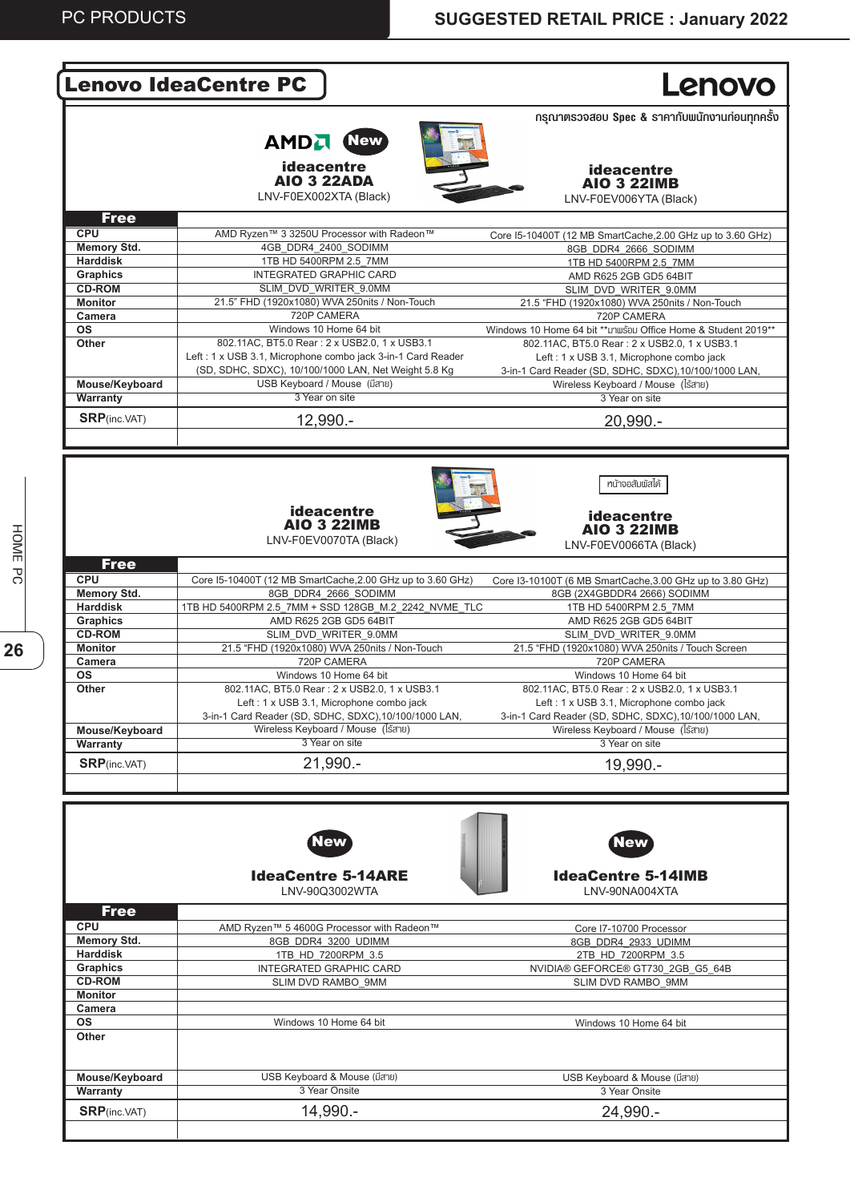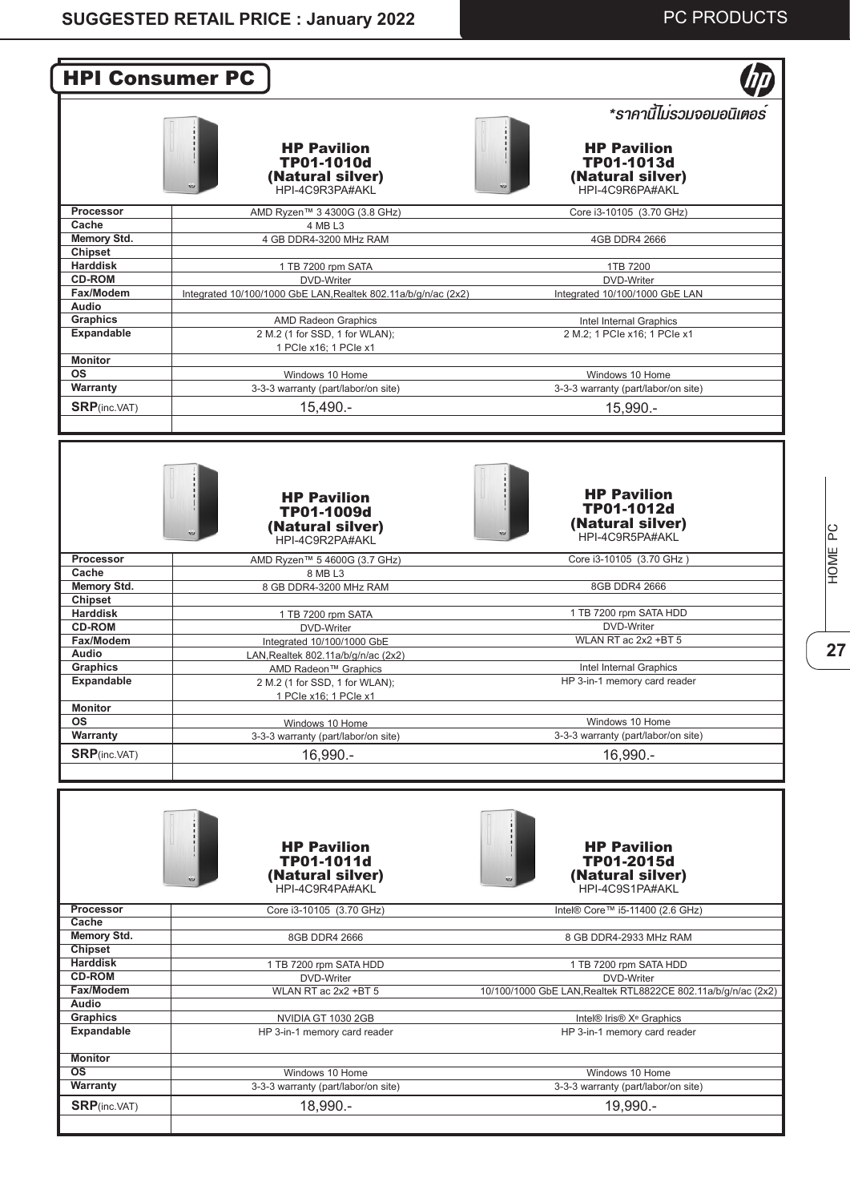| <b>HPI Consumer PC</b>               |                                                                              |                                                                                                     |
|--------------------------------------|------------------------------------------------------------------------------|-----------------------------------------------------------------------------------------------------|
|                                      | <b>HP Pavilion</b><br>TP01-1010d<br>(Natural silver)<br>HPI-4C9R3PA#AKL      | *ราคานี้ไมรวมจอมอนิเตอร์<br><b>HP Pavilion</b><br>TP01-1013d<br>(Natural silver)<br>HPI-4C9R6PA#AKL |
| Processor                            | AMD Ryzen™ 3 4300G (3.8 GHz)                                                 | Core i3-10105 (3.70 GHz)                                                                            |
| Cache<br><b>Memory Std.</b>          | 4 MB L3<br>4 GB DDR4-3200 MHz RAM                                            | 4GB DDR4 2666                                                                                       |
| <b>Chipset</b>                       |                                                                              |                                                                                                     |
| <b>Harddisk</b>                      | 1 TB 7200 rpm SATA                                                           | 1TB 7200                                                                                            |
| <b>CD-ROM</b><br>Fax/Modem           | DVD-Writer<br>Integrated 10/100/1000 GbE LAN, Realtek 802.11a/b/g/n/ac (2x2) | DVD-Writer<br>Integrated 10/100/1000 GbE LAN                                                        |
| Audio                                |                                                                              |                                                                                                     |
| <b>Graphics</b><br><b>Expandable</b> | <b>AMD Radeon Graphics</b><br>2 M.2 (1 for SSD, 1 for WLAN);                 | Intel Internal Graphics<br>2 M.2: 1 PCIe x16: 1 PCIe x1                                             |
|                                      | 1 PCIe x16; 1 PCIe x1                                                        |                                                                                                     |
| <b>Monitor</b><br><b>OS</b>          | Windows 10 Home                                                              | Windows 10 Home                                                                                     |
| Warranty                             | 3-3-3 warranty (part/labor/on site)                                          | 3-3-3 warranty (part/labor/on site)                                                                 |
| <b>SRP</b> (inc.VAT)                 | 15,490.-                                                                     | $15,990 -$                                                                                          |
|                                      | <b>HP Pavilion</b><br>TP01-1009d<br>(Natural silver)                         | <b>HP Pavilion</b><br>TP01-1012d<br>(Natural silver)<br>HPI-4C9R5PA#AKL                             |
|                                      | HPI-4C9R2PA#AKL                                                              |                                                                                                     |
| Processor<br>Cache                   | AMD Ryzen™ 5 4600G (3.7 GHz)<br>8 MB L3                                      | Core i3-10105 (3.70 GHz)                                                                            |
| <b>Memory Std.</b>                   | 8 GB DDR4-3200 MHz RAM                                                       | 8GB DDR4 2666                                                                                       |
| Chipset<br><b>Harddisk</b>           | 1 TB 7200 rpm SATA                                                           | 1 TB 7200 rpm SATA HDD                                                                              |
| <b>CD-ROM</b>                        | DVD-Writer                                                                   | DVD-Writer                                                                                          |
| Fax/Modem                            | Integrated 10/100/1000 GbE                                                   | WLAN RT ac 2x2 +BT 5                                                                                |
| <b>Audio</b><br><b>Graphics</b>      | LAN, Realtek 802.11a/b/q/n/ac (2x2)<br>AMD Radeon <sup>™</sup> Graphics      | Intel Internal Graphics                                                                             |
| Expandable                           | 2 M.2 (1 for SSD, 1 for WLAN);<br>1 PCIe x16; 1 PCIe x1                      | HP 3-in-1 memory card reader                                                                        |
| <b>Monitor</b><br>ΟS                 |                                                                              | Windows 10 Home                                                                                     |
| Warranty                             | Windows 10 Home<br>3-3-3 warranty (part/labor/on site)                       | 3-3-3 warranty (part/labor/on site)                                                                 |
| <b>SRP</b> (inc.VAT)                 | 16,990.-                                                                     | $16,990. -$                                                                                         |
|                                      | <b>HP Pavilion</b><br>TP01-1011d<br>(Natural silver)<br>HPI-4C9R4PA#AKL      | <b>HP Pavilion</b><br><b>TP01-2015d</b><br>(Natural silver)<br>HPI-4C9S1PA#AKL                      |
| <b>Processor</b><br>Cache            | Core i3-10105 (3.70 GHz)                                                     | Intel® Core™ i5-11400 (2.6 GHz)                                                                     |
| <b>Memory Std.</b>                   | 8GB DDR4 2666                                                                | 8 GB DDR4-2933 MHz RAM                                                                              |
| <b>Chipset</b><br><b>Harddisk</b>    | 1 TB 7200 rpm SATA HDD                                                       | 1 TB 7200 rpm SATA HDD                                                                              |
| <b>CD-ROM</b>                        | DVD-Writer                                                                   | DVD-Writer                                                                                          |
| Fax/Modem<br>Audio                   | WLAN RT ac 2x2 +BT 5                                                         | 10/100/1000 GbE LAN, Realtek RTL8822CE 802.11a/b/g/n/ac (2x2)                                       |
| <b>Graphics</b>                      | NVIDIA GT 1030 2GB                                                           | Intel® Iris® X <sup>e</sup> Graphics                                                                |
| <b>Expandable</b>                    | HP 3-in-1 memory card reader                                                 | HP 3-in-1 memory card reader                                                                        |
| <b>Monitor</b>                       |                                                                              |                                                                                                     |
| $\overline{\text{os}}$<br>Warranty   | Windows 10 Home<br>3-3-3 warranty (part/labor/on site)                       | Windows 10 Home<br>3-3-3 warranty (part/labor/on site)                                              |
|                                      |                                                                              |                                                                                                     |
| <b>SRP</b> (inc.VAT)                 | 18,990.-                                                                     | 19,990.-                                                                                            |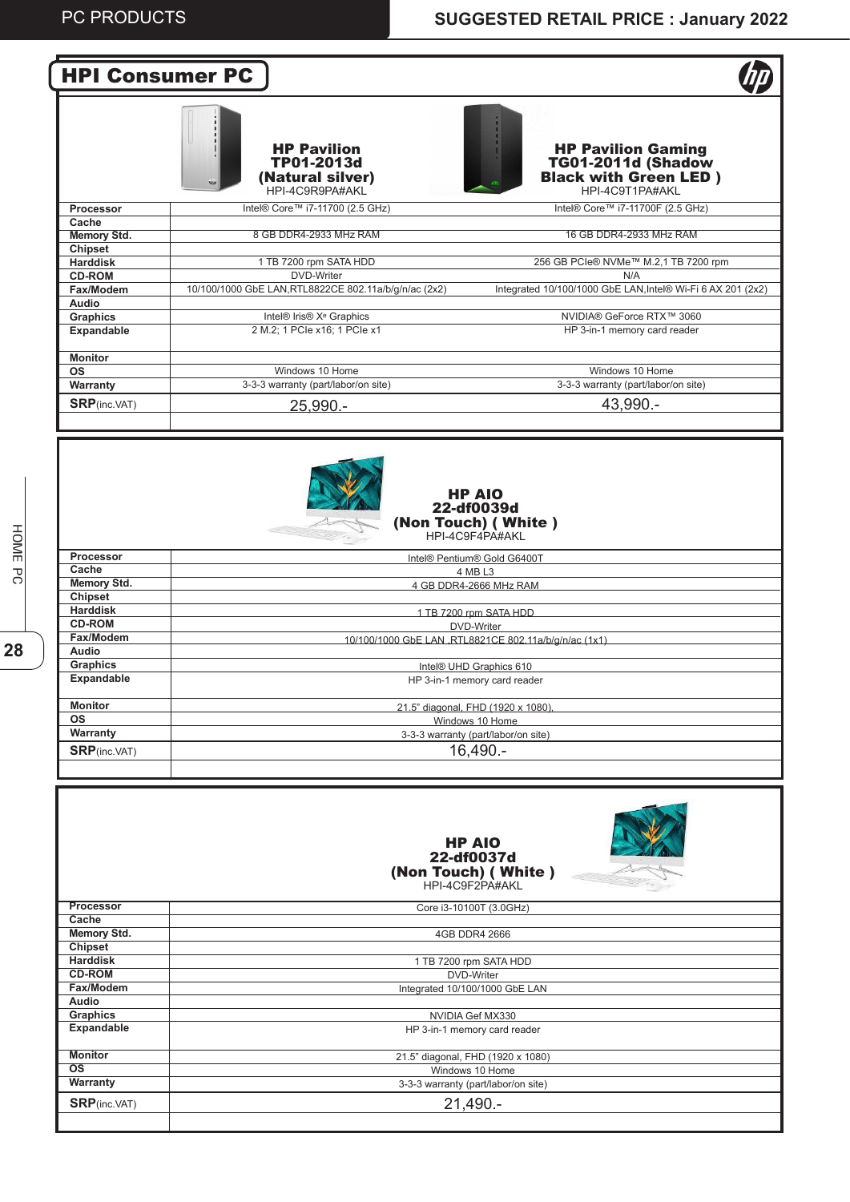

|                        | <b>HP AIO</b><br>22-df0037d<br>(Non Touch) (White)<br>HPI-4C9F2PA#AKL |
|------------------------|-----------------------------------------------------------------------|
| <b>Processor</b>       | Core i3-10100T (3.0GHz)                                               |
| Cache                  |                                                                       |
| Memory Std.            | 4GB DDR4 2666                                                         |
| <b>Chipset</b>         |                                                                       |
| <b>Harddisk</b>        | 1 TB 7200 rpm SATA HDD                                                |
| <b>CD-ROM</b>          | DVD-Writer                                                            |
| Fax/Modem              | Integrated 10/100/1000 GbE LAN                                        |
| Audio                  |                                                                       |
| Graphics               | NVIDIA Gef MX330                                                      |
| Expandable             | HP 3-in-1 memory card reader                                          |
|                        |                                                                       |
| <b>Monitor</b>         | 21.5" diagonal, FHD (1920 x 1080)                                     |
| $\overline{\text{os}}$ | Windows 10 Home                                                       |
| Warranty               | 3-3-3 warranty (part/labor/on site)                                   |
| <b>SRP</b> (inc.VAT)   | $21,490. -$                                                           |
|                        |                                                                       |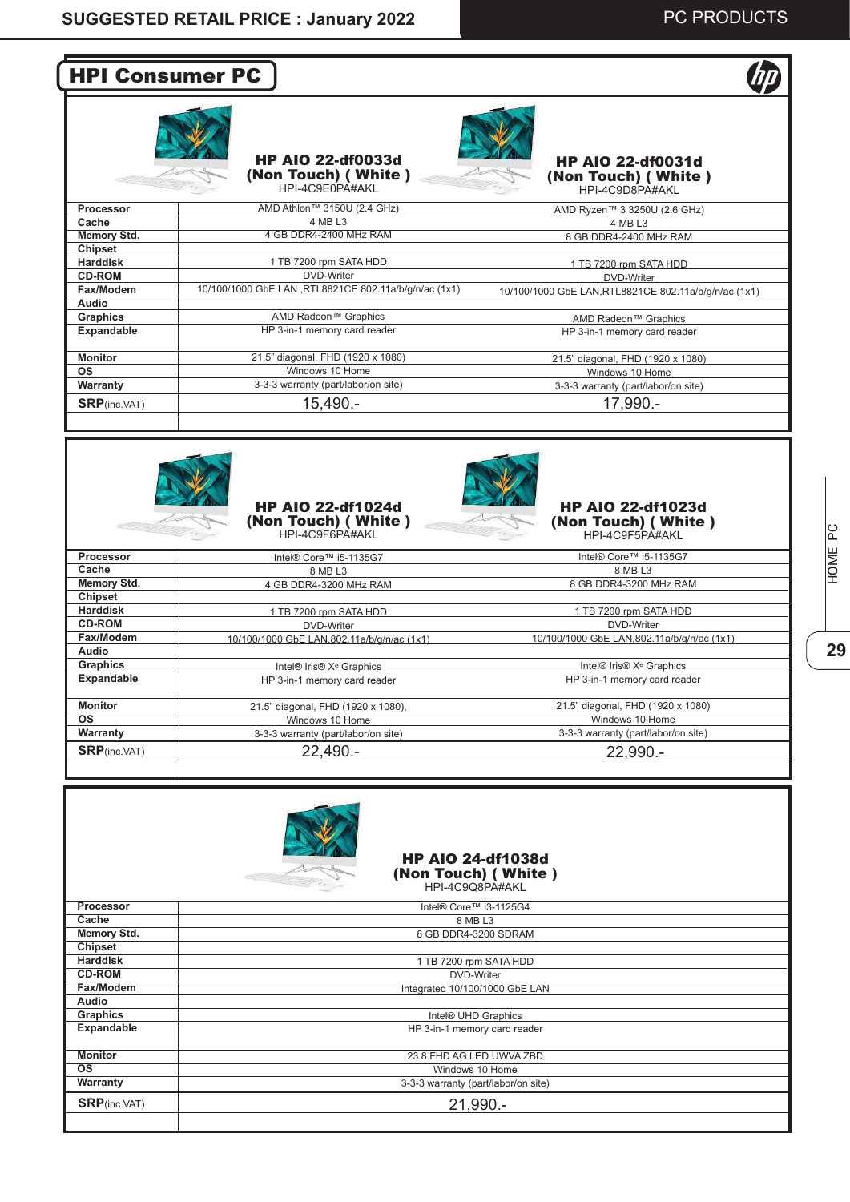# HPI Consumer PC



HP AIO 22-df0033d (Non Touch) ( White )



|                      | HPI-4C9E0PA#AKL                                       | HPI-4C9D8PA#AKL                                       |
|----------------------|-------------------------------------------------------|-------------------------------------------------------|
| <b>Processor</b>     | AMD Athlon™ 3150U (2.4 GHz)                           | AMD Ryzen™ 3 3250U (2.6 GHz)                          |
| Cache                | 4 MB L3                                               | 4 MB L3                                               |
| Memory Std.          | 4 GB DDR4-2400 MHz RAM                                | 8 GB DDR4-2400 MHz RAM                                |
| Chipset              |                                                       |                                                       |
| <b>Harddisk</b>      | 1 TB 7200 rpm SATA HDD                                | 1 TB 7200 rpm SATA HDD                                |
| <b>CD-ROM</b>        | DVD-Writer                                            | DVD-Writer                                            |
| Fax/Modem            | 10/100/1000 GbE LAN ,RTL8821CE 802.11a/b/q/n/ac (1x1) | 10/100/1000 GbE LAN, RTL8821CE 802.11a/b/q/n/ac (1x1) |
| Audio                |                                                       |                                                       |
| <b>Graphics</b>      | AMD Radeon™ Graphics                                  | AMD Radeon™ Graphics                                  |
| <b>Expandable</b>    | HP 3-in-1 memory card reader                          | HP 3-in-1 memory card reader                          |
| <b>Monitor</b>       | 21.5" diagonal, FHD (1920 x 1080)                     | 21.5" diagonal, FHD (1920 x 1080)                     |
| <b>OS</b>            | Windows 10 Home                                       | Windows 10 Home                                       |
| Warranty             | 3-3-3 warranty (part/labor/on site)                   | 3-3-3 warranty (part/labor/on site)                   |
| <b>SRP</b> (inc.VAT) | 15,490.-                                              | 17,990.-                                              |
|                      |                                                       |                                                       |



#### HP AIO 22-df1024d (Non Touch) ( White )



HP AIO 22-df1023d (Non Touch) ( White ) HPI-4C9F5PA#AKL

|                      | $\sim$ $\sim$ $\sim$<br>HPI-4C9F6PA#AKL     | $\sim$ $\sim$<br>HPI-4C9F5PA#AKL                             |
|----------------------|---------------------------------------------|--------------------------------------------------------------|
| <b>Processor</b>     | Intel® Core™ i5-1135G7                      | Intel® Core™ i5-1135G7                                       |
| Cache                | 8 MB L3                                     | 8 MB L3                                                      |
| Memory Std.          | 4 GB DDR4-3200 MHz RAM                      | 8 GB DDR4-3200 MHz RAM                                       |
| Chipset              |                                             |                                                              |
| <b>Harddisk</b>      | 1 TB 7200 rpm SATA HDD                      | 1 TB 7200 rpm SATA HDD                                       |
| <b>CD-ROM</b>        | DVD-Writer                                  | DVD-Writer                                                   |
| Fax/Modem            | 10/100/1000 GbE LAN, 802.11a/b/g/n/ac (1x1) | 10/100/1000 GbE LAN,802.11a/b/g/n/ac (1x1)                   |
| Audio                |                                             |                                                              |
| <b>Graphics</b>      | Intel® Iris® X <sup>e</sup> Graphics        | Intel <sup>®</sup> Iris <sup>®</sup> X <sup>e</sup> Graphics |
| <b>Expandable</b>    | HP 3-in-1 memory card reader                | HP 3-in-1 memory card reader                                 |
| <b>Monitor</b>       | 21.5" diagonal, FHD (1920 x 1080),          | 21.5" diagonal, FHD (1920 x 1080)                            |
| OS.                  | Windows 10 Home                             | Windows 10 Home                                              |
| Warranty             | 3-3-3 warranty (part/labor/on site)         | 3-3-3 warranty (part/labor/on site)                          |
| <b>SRP</b> (inc.VAT) | $22,490. -$                                 | 22,990.-                                                     |
|                      |                                             |                                                              |



# ပြ **29**<br>**29**<br>**29** HOME I